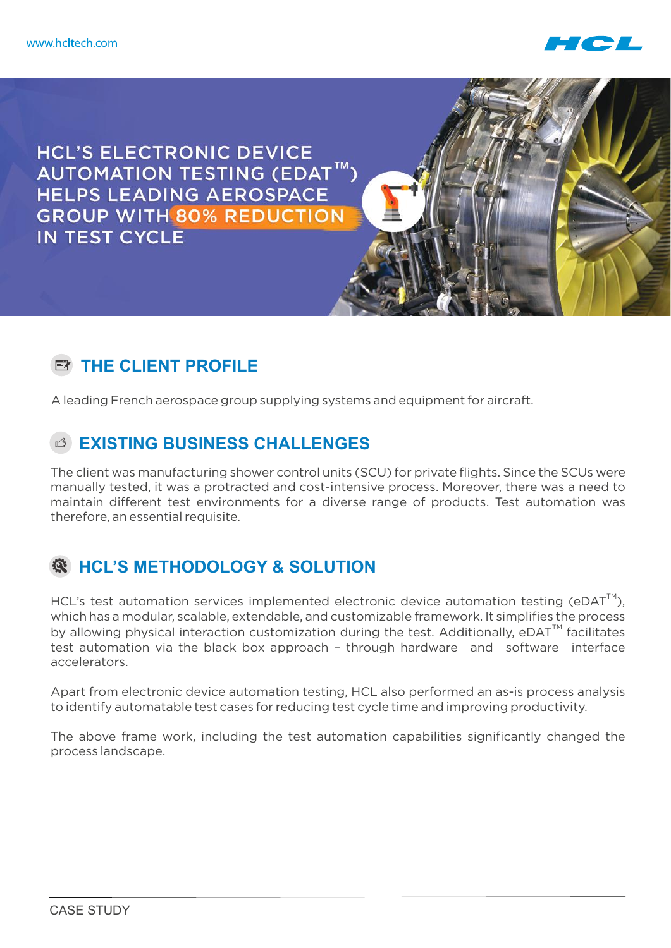

**HCL'S ELECTRONIC DEVICE** AUTOMATION TESTING (EDAT™) **HELPS LEADING AEROSPACE GROUP WITH 80% REDUCTION** IN TEST CYCLE

## **EX THE CLIENT PROFILE**

A leading French aerospace group supplying systems and equipment for aircraft.

## **EXISTING BUSINESS CHALLENGES**

The client was manufacturing shower control units (SCU) for private flights. Since the SCUs were manually tested, it was a protracted and cost-intensive process. Moreover, there was a need to maintain different test environments for a diverse range of products. Test automation was therefore, an essential requisite.

## **HCL'S METHODOLOGY & SOLUTION**

HCL's test automation services implemented electronic device automation testing (eDAT<sup>M</sup>). which has a modular, scalable, extendable, and customizable framework. It simplifies the process by allowing physical interaction customization during the test. Additionally,  $e$ DAT<sup>TM</sup> facilitates test automation via the black box approach – through hardware and software interface accelerators.

Apart from electronic device automation testing, HCL also performed an as-is process analysis to identify automatable test cases for reducing test cycle time and improving productivity.

The above frame work, including the test automation capabilities significantly changed the process landscape.